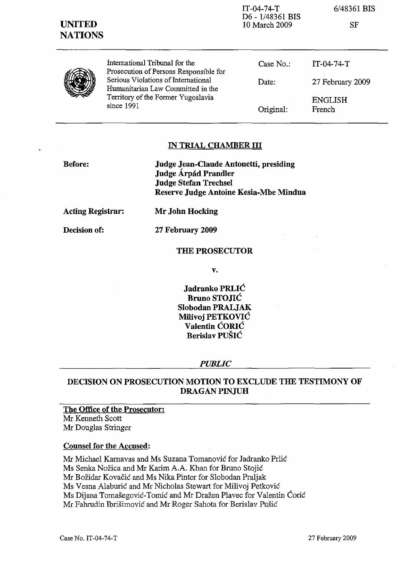| <b>UNITED</b><br><b>NATIONS</b> |                                                                                                                              | D6 - 1/48361 BIS<br>10 March 2009 | SF                       |
|---------------------------------|------------------------------------------------------------------------------------------------------------------------------|-----------------------------------|--------------------------|
|                                 | International Tribunal for the<br>Prosecution of Persons Responsible for                                                     | Case $No.$ :                      | $IT-04-74-T$             |
|                                 | Serious Violations of International<br>Humanitarian Law Committed in the<br>Territory of the Former Yugoslavia<br>since 1991 | Date:                             | 27 February 2009         |
|                                 |                                                                                                                              | Original:                         | <b>ENGLISH</b><br>French |

IT-04-74-T

6/48361 BIS

### IN TRIAL CHAMBER III

| Judge Jean-Claude Antonetti, presiding |  |
|----------------------------------------|--|
| Judge Árpád Prandler                   |  |
| <b>Judge Stefan Trechsel</b>           |  |
| Reserve Judge Antoine Kesia-Mbe Mindua |  |
|                                        |  |

Acting Registrar:

Decision of:

Mr John Hocking

27 February 2009

# THE PROSECUTOR

v.

Jadranko PRLIC Bruno STOJIC Slobodan PRALJAK Milivoj PETKOVIĆ Valentin CORIC Berislav PUSIC

### *PUBLIC*

# DECISION ON PROSECUTION MOTION TO EXCLUDE THE TESTIMONY OF DRAGAN PINJUH

The Office of the Prosecutor: Mr Kenneth Scott Mr Douglas Stringer

## Counsel for the Accused:

Mr Michael Karnavas and Ms Suzana Tomanovic for Jadranko Prlic Ms Senka Nozica and Mr Karim A.A. Khan for Bruno Stojic Mr Bozidar Kovacic and Ms Nika Pinter for Slobodan Praljak Ms Vesna Alaburic and Mr Nicholas Stewart for Milivoj Petkovic Ms Dijana Tomašegović-Tomić and Mr Dražen Plavec for Valentin Ćorić Mr Fahrudin Ibrisimovic and Mr Roger Sahota for Berislav Pusic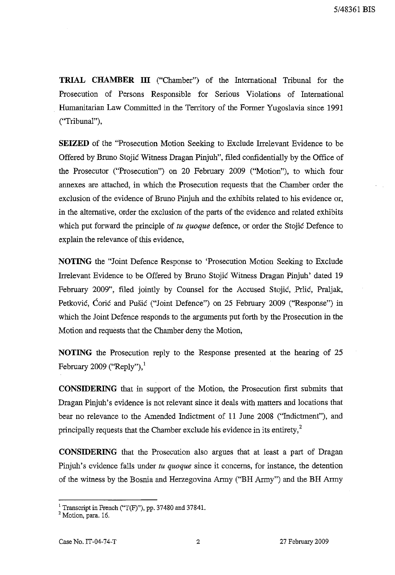**TRIAL CHAMBER III** ("Chamber") of the International Tribunal for the Prosecution of Persons Responsible for Serious Violations of International Humanitarian Law Committed in the Territory of the Former Yugoslavia since 1991 ("Tribunal"),

**SEIZED** of the "Prosecution Motion Seeking to Exclude Irrelevant Evidence to be Offered by Bruno Stojic Witness Dragan Pinjuh", filed confidentially by the Office of the Prosecutor ("Prosecution") on 20 February 2009 ("Motion"), to which four annexes are attached, in which the Prosecution requests that the Chamber order the exclusion of the evidence of Bruno Pinjuh and the exhibits related to his evidence or, in the alternative, order the exclusion of the parts of the evidence and related exhibits which put forward the principle of *tu quoque* defence, or order the Stojic Defence to explain the relevance of this evidence,

**NOTING** the "Joint Defence Response to 'Prosecution Motion Seeking to Exclude Irrelevant Evidence to be Offered by Bruno Stojic Witness Dragan Pinjuh' dated 19 February 2009", filed jointly by Counsel for the Accused Stojić, Prlić, Praljak, Petković, Ćorić and Pušić ("Joint Defence") on 25 February 2009 ("Response") in which the Joint Defence responds to the arguments put forth by the Prosecution in the Motion and requests that the Chamber deny the Motion,

**NOTING** the Prosecution reply to the Response presented at the hearing of 25 February 2009 ("Reply"), $<sup>1</sup>$ </sup>

**CONSIDERING** that in support of the Motion, the Prosecution first submits that Dragan Pinjuh's evidence is not relevant since it deals with matters and locations that bear no relevance to the Amended Indictment of 11 June 2008 ("Indictment"), and principally requests that the Chamber exclude his evidence in its entirety, $<sup>2</sup>$ </sup>

**CONSIDERING** that the Prosecution also argues that at least a part of Dragan Pinjuh's evidence falls under *tu quoque* since it concerns, for instance, the detention of the witness by the Bosnia and Herzegovina Army ("BH Army") and the **BH Army**

<sup>&</sup>lt;sup>1</sup> Transcript in French ("T(F)"), pp. 37480 and 37841.

<sup>&</sup>lt;sup>2</sup> Motion, para. 16.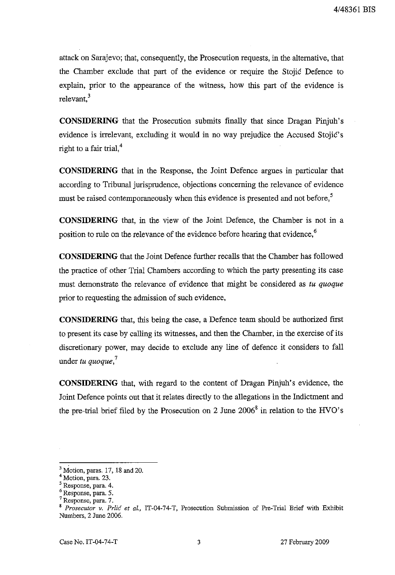attack on Sarajevo; that, consequently, the Prosecution requests, in the alternative, that the Chamber exclude that part of the evidence or require the Stojic Defence to explain, prior to the appearance of the witness, how this part of the evidence is relevant.<sup>3</sup>

**CONSIDERING** that the Prosecution submits finally that since Dragan Pinjuh's evidence is irrelevant, excluding it would in no way prejudice the Accused Stojic's right to a fair trial, $4$ 

**CONSIDERING** that in the Response, the Joint Defence argues in particular that according to Tribunal jurisprudence, objections concerning the relevance of evidence must be raised contemporaneously when this evidence is presented and not before,<sup>5</sup>

**CONSIDERING** that, in the view of the Joint Defence, the Chamber is not in a position to rule on the relevance of the evidence before hearing that evidence,<sup>6</sup>

**CONSIDERING** that the Joint Defence further recalls that the Chamber has followed the practice of other Trial Chambers according to which the party presenting its case must demonstrate the relevance of evidence that might be considered as *tu quoque* prior to requesting the admission of such evidence,

**CONSIDERING** that, this being the case, a Defence team should be authorized first to present its case by calling its witnesses, and then the Chamber, in the exercise of its discretionary power, may decide to exclude any line of defence it considers to fall under *tu quoque.'*

**CONSIDERING** that, with regard to the content of Dragan Pinjuh's evidence, the Joint Defence points out that it relates directly to the allegations in the Indictment and the pre-trial brief filed by the Prosecution on 2 June  $2006^8$  in relation to the HVO's

 $3$  Motion, paras. 17, 18 and 20.

<sup>4</sup> Motion, para. 23.

<sup>&</sup>lt;sup>5</sup> Response, para. 4.

<sup>6</sup> Response, para. 5.

**<sup>7</sup> Response, para. 7.**

<sup>8</sup> *Prosecutor v. Prlic et al.,* IT-04-74-T, Prosecution Submission of Pre-Trial Brief with Exhibit Numbers, 2 June 2006.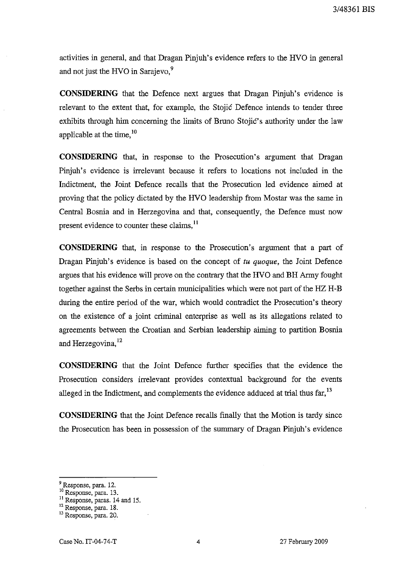activities in general, and that Dragan Pinjuh's evidence refers to the HVO in general and not just the HVO in Sarajevo,<sup>9</sup>

**CONSIDERING** that the Defence next argues that Dragan Pinjuh's evidence is relevant to the extent that, for example, the Stojic Defence intends to tender three exhibits through him concerning the limits of Bruno Stojic's authority under the law applicable at the time,  $10$ 

**CONSIDERING** that, in response to the Prosecution's argument that Dragan Pinjuh's evidence is irrelevant because it refers to locations not included in the Indictment, the Joint Defence recalls that the Prosecution led evidence aimed at proving that the policy dictated by the HVO leadership from Mostar was the same in Central Bosnia and in Herzegovina and that, consequently, the Defence must now present evidence to counter these claims,<sup>11</sup>

**CONSIDERING** that, in response to the Prosecution's argument that a part of Dragan Pinjuh's evidence is based on the concept of *tu quoque,* the Joint Defence argues that his evidence will prove on the contrary that the HVO and BH Army fought together against the Serbs in certain municipalities which were not part of the HZ H-B during the entire period of the war, which would contradict the Prosecution's theory on the existence of a joint criminal enterprise as well as its allegations related to agreements between the Croatian and Serbian leadership aiming to partition Bosnia and Herzegovina, <sup>12</sup>

**CONSIDERING** that the Joint Defence further specifies that the evidence the Prosecution considers irrelevant provides contextual background for the events alleged in the Indictment, and complements the evidence adduced at trial thus far,<sup>13</sup>

**CONSIDERING** that the Joint Defence recalls finally that the Motion is tardy since the Prosecution has been in possession of the summary of Dragan Pinjuh's evidence

<sup>9</sup> Response, para. 12. <sup>10</sup> Response, para. 13.

<sup>&</sup>lt;sup>11</sup> Response, paras. 14 and 15.

<sup>&</sup>lt;sup>12</sup> Response, para. 18.

<sup>13</sup> Response, para. 20.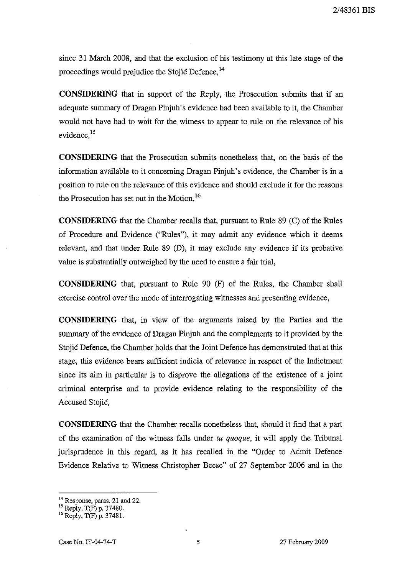since 31 March 2008, and that the exclusion of his testimony at this late stage of the proceedings would prejudice the Stojic Defence.<sup>14</sup>

**CONSIDERING** that in support of the Reply, the Prosecution submits that if an adequate summary of Dragan Pinjuh's evidence had been available to it, the Chamber would not have had to wait for the witness to appear to rule on the relevance of his evidence.<sup>15</sup>

**CONSIDERING** that the Prosecution submits nonetheless that, on the basis of the information available to it concerning Dragan Pinjuh's evidence, the Chamber is in a position to rule on the relevance of this evidence and should exclude it for the reasons the Prosecution has set out in the Motion.<sup>16</sup>

**CONSIDERING** that the Chamber recalls that, pursuant to Rule 89 (C) of the Rules of Procedure and Evidence ("Rules"), it may admit any evidence which it deems relevant, and that under Rule 89 (D), it may exclude any evidence if its probative value is substantially outweighed by the need to ensure a fair trial,

**CONSIDERING** that, pursuant to Rule 90 (F) of the Rules, the Chamber shall exercise control over the mode of interrogating witnesses and presenting evidence,

**CONSIDERING** that, in view of the arguments raised by the Parties and the summary of the evidence of Dragan Pinjuh and the complements to it provided by the Stojic Defence, the Chamber holds that the Joint Defence has demonstrated that at this stage, this evidence bears sufficient indicia of relevance in respect of the Indictment since its aim in particular is to disprove the allegations of the existence of a joint criminal enterprise and to provide evidence relating to the responsibility of the Accused Stojic,

**CONSIDERING** that the Chamber recalls nonetheless that, should it find that a part of the examination of the witness falls under *tu quoque,* it will apply the Tribunal jurisprudence in this regard, as it has recalled in the "Order to Admit Defence Evidence Relative to Witness Christopher Beese" of 27 September 2006 and in the

<sup>&</sup>lt;sup>14</sup> Response, paras. 21 and 22.

<sup>&</sup>lt;sup>15</sup> Reply, T(F) p. 37480.

<sup>&</sup>lt;sup>16</sup> Reply, T(F) p. 37481.